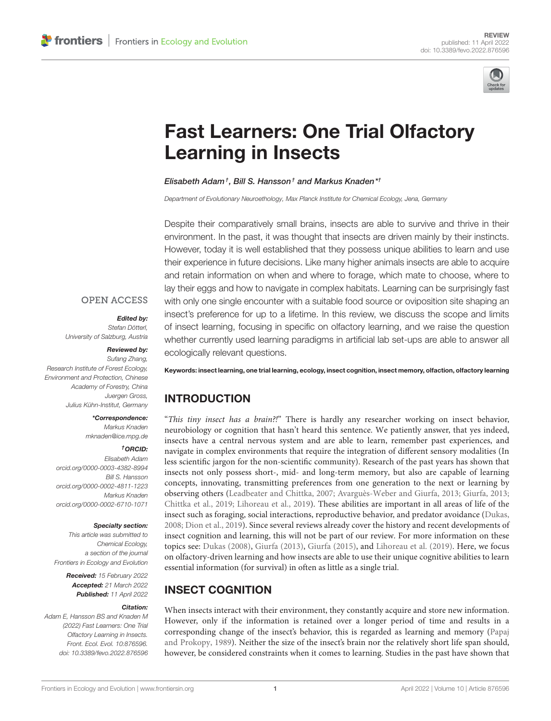

# [Fast Learners: One Trial Olfactory](https://www.frontiersin.org/articles/10.3389/fevo.2022.876596/full) Learning in Insects

#### Elisabeth Adam† , Bill S. Hansson† and Markus Knaden\* †

Department of Evolutionary Neuroethology, Max Planck Institute for Chemical Ecology, Jena, Germany

Despite their comparatively small brains, insects are able to survive and thrive in their environment. In the past, it was thought that insects are driven mainly by their instincts. However, today it is well established that they possess unique abilities to learn and use their experience in future decisions. Like many higher animals insects are able to acquire and retain information on when and where to forage, which mate to choose, where to lay their eggs and how to navigate in complex habitats. Learning can be surprisingly fast with only one single encounter with a suitable food source or oviposition site shaping an insect's preference for up to a lifetime. In this review, we discuss the scope and limits of insect learning, focusing in specific on olfactory learning, and we raise the question whether currently used learning paradigms in artificial lab set-ups are able to answer all ecologically relevant questions.

### **OPEN ACCESS**

#### Edited by:

Stefan Dötterl, University of Salzburg, Austria

### Reviewed by:

Sufang Zhang, Research Institute of Forest Ecology, Environment and Protection, Chinese Academy of Forestry, China Juergen Gross, Julius Kühn-Institut, Germany

#### \*Correspondence: Markus Knaden [mknaden@ice.mpg.de](mailto:mknaden@ice.mpg.de)

#### †ORCID:

Elisabeth Adam [orcid.org/0000-0003-4382-8994](http://orcid.org/0000-0003-4382-8994) Bill S. Hansson [orcid.org/0000-0002-4811-1223](http://orcid.org/0000-0002-4811-1223) Markus Knaden [orcid.org/0000-0002-6710-1071](http://orcid.org/0000-0002-6710-1071)

#### Specialty section:

This article was submitted to Chemical Ecology, a section of the journal Frontiers in Ecology and Evolution

> Received: 15 February 2022 Accepted: 21 March 2022 Published: 11 April 2022

#### Citation:

Adam E, Hansson BS and Knaden M (2022) Fast Learners: One Trial Olfactory Learning in Insects. Front. Ecol. Evol. 10:876596. doi: [10.3389/fevo.2022.876596](https://doi.org/10.3389/fevo.2022.876596) Keywords: insect learning, one trial learning, ecology, insect cognition, insect memory, olfaction, olfactory learning

# INTRODUCTION

"This tiny insect has a brain?!" There is hardly any researcher working on insect behavior, neurobiology or cognition that hasn't heard this sentence. We patiently answer, that yes indeed, insects have a central nervous system and are able to learn, remember past experiences, and navigate in complex environments that require the integration of different sensory modalities (In less scientific jargon for the non-scientific community). Research of the past years has shown that insects not only possess short-, mid- and long-term memory, but also are capable of learning concepts, innovating, transmitting preferences from one generation to the next or learning by observing others [\(Leadbeater and Chittka, 2007;](#page-6-0) [Avarguès-Weber and Giurfa, 2013;](#page-5-0) [Giurfa, 2013;](#page-5-1) [Chittka et al., 2019;](#page-5-2) [Lihoreau et al., 2019\)](#page-6-1). These abilities are important in all areas of life of the insect such as foraging, social interactions, reproductive behavior, and predator avoidance [\(Dukas,](#page-5-3) [2008;](#page-5-3) [Dion et al., 2019\)](#page-5-4). Since several reviews already cover the history and recent developments of insect cognition and learning, this will not be part of our review. For more information on these topics see: [Dukas \(2008\)](#page-5-3), [Giurfa \(2013\)](#page-5-1), [Giurfa \(2015\)](#page-5-5), and [Lihoreau et al. \(2019\)](#page-6-1). Here, we focus on olfactory-driven learning and how insects are able to use their unique cognitive abilities to learn essential information (for survival) in often as little as a single trial.

# INSECT COGNITION

When insects interact with their environment, they constantly acquire and store new information. However, only if the information is retained over a longer period of time and results in a corresponding change of the insect's behavior, this is regarded as learning and memory (Papaj and Prokopy, [1989\)](#page-6-2). Neither the size of the insect's brain nor the relatively short life span should, however, be considered constraints when it comes to learning. Studies in the past have shown that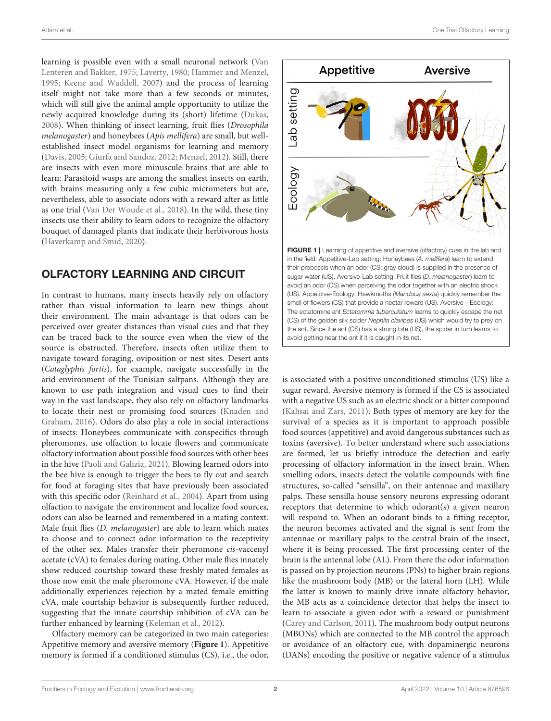learning is possible even with a small neuronal network (Van Lenteren and Bakker, [1975;](#page-6-3) [Laverty, 1980;](#page-6-4) [Hammer and Menzel,](#page-5-6) [1995;](#page-5-6) [Keene and Waddell, 2007\)](#page-6-5) and the process of learning itself might not take more than a few seconds or minutes, which will still give the animal ample opportunity to utilize the newly acquired knowledge during its (short) lifetime [\(Dukas,](#page-5-3) [2008\)](#page-5-3). When thinking of insect learning, fruit flies (Drosophila melanogaster) and honeybees (Apis mellifera) are small, but wellestablished insect model organisms for learning and memory [\(Davis, 2005;](#page-5-7) [Giurfa and Sandoz, 2012;](#page-5-8) [Menzel, 2012\)](#page-6-6). Still, there are insects with even more minuscule brains that are able to learn: Parasitoid wasps are among the smallest insects on earth, with brains measuring only a few cubic micrometers but are, nevertheless, able to associate odors with a reward after as little as one trial [\(Van Der Woude et al., 2018\)](#page-6-7). In the wild, these tiny insects use their ability to learn odors to recognize the olfactory bouquet of damaged plants that indicate their herbivorous hosts [\(Haverkamp and Smid, 2020\)](#page-5-9).

# OLFACTORY LEARNING AND CIRCUIT

In contrast to humans, many insects heavily rely on olfactory rather than visual information to learn new things about their environment. The main advantage is that odors can be perceived over greater distances than visual cues and that they can be traced back to the source even when the view of the source is obstructed. Therefore, insects often utilize them to navigate toward foraging, oviposition or nest sites. Desert ants (Cataglyphis fortis), for example, navigate successfully in the arid environment of the Tunisian saltpans. Although they are known to use path integration and visual cues to find their way in the vast landscape, they also rely on olfactory landmarks to locate their nest or promising food sources (Knaden and Graham, [2016\)](#page-6-8). Odors do also play a role in social interactions of insects: Honeybees communicate with conspecifics through pheromones, use olfaction to locate flowers and communicate olfactory information about possible food sources with other bees in the hive [\(Paoli and Galizia, 2021\)](#page-6-9). Blowing learned odors into the bee hive is enough to trigger the bees to fly out and search for food at foraging sites that have previously been associated with this specific odor [\(Reinhard et al., 2004\)](#page-6-10). Apart from using olfaction to navigate the environment and localize food sources, odors can also be learned and remembered in a mating context. Male fruit flies (D. melanogaster) are able to learn which mates to choose and to connect odor information to the receptivity of the other sex. Males transfer their pheromone cis-vaccenyl acetate (cVA) to females during mating. Other male flies innately show reduced courtship toward these freshly mated females as those now emit the male pheromone cVA. However, if the male additionally experiences rejection by a mated female emitting cVA, male courtship behavior is subsequently further reduced, suggesting that the innate courtship inhibition of cVA can be further enhanced by learning [\(Keleman et al., 2012\)](#page-6-11).

Olfactory memory can be categorized in two main categories: Appetitive memory and aversive memory (**[Figure 1](#page-1-0)**). Appetitive memory is formed if a conditioned stimulus (CS), i.e., the odor,



<span id="page-1-0"></span>is associated with a positive unconditioned stimulus (US) like a sugar reward. Aversive memory is formed if the CS is associated with a negative US such as an electric shock or a bitter compound [\(Kahsai and Zars, 2011\)](#page-5-10). Both types of memory are key for the survival of a species as it is important to approach possible food sources (appetitive) and avoid dangerous substances such as toxins (aversive). To better understand where such associations are formed, let us briefly introduce the detection and early processing of olfactory information in the insect brain. When smelling odors, insects detect the volatile compounds with fine structures, so-called "sensilla", on their antennae and maxillary palps. These sensilla house sensory neurons expressing odorant receptors that determine to which odorant(s) a given neuron will respond to. When an odorant binds to a fitting receptor, the neuron becomes activated and the signal is sent from the antennae or maxillary palps to the central brain of the insect, where it is being processed. The first processing center of the brain is the antennal lobe (AL). From there the odor information is passed on by projection neurons (PNs) to higher brain regions like the mushroom body (MB) or the lateral horn (LH). While the latter is known to mainly drive innate olfactory behavior, the MB acts as a coincidence detector that helps the insect to learn to associate a given odor with a reward or punishment [\(Carey and Carlson, 2011\)](#page-5-11). The mushroom body output neurons (MBONs) which are connected to the MB control the approach or avoidance of an olfactory cue, with dopaminergic neurons (DANs) encoding the positive or negative valence of a stimulus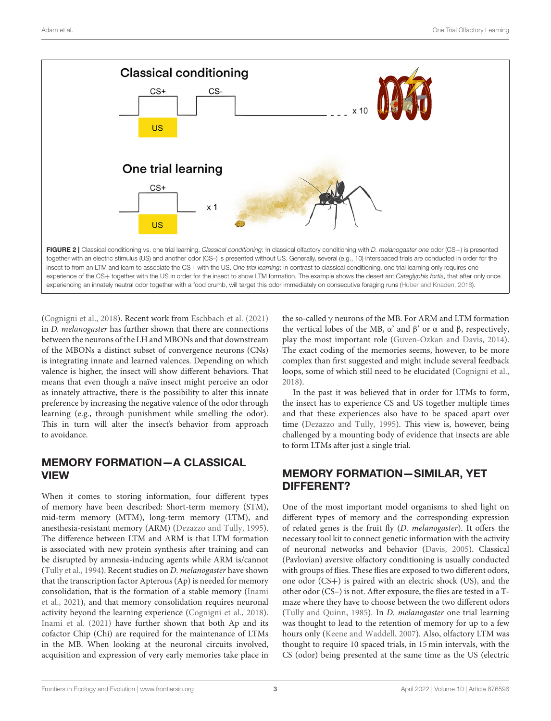

<span id="page-2-0"></span>[\(Cognigni et al., 2018\)](#page-5-13). Recent work from [Eschbach et al. \(2021\)](#page-5-14) in D. melanogaster has further shown that there are connections between the neurons of the LH and MBONs and that downstream of the MBONs a distinct subset of convergence neurons (CNs) is integrating innate and learned valences. Depending on which valence is higher, the insect will show different behaviors. That means that even though a naïve insect might perceive an odor as innately attractive, there is the possibility to alter this innate preference by increasing the negative valence of the odor through learning (e.g., through punishment while smelling the odor). This in turn will alter the insect's behavior from approach to avoidance.

## MEMORY FORMATION—A CLASSICAL VIEW

When it comes to storing information, four different types of memory have been described: Short-term memory (STM), mid-term memory (MTM), long-term memory (LTM), and anesthesia-resistant memory (ARM) [\(Dezazzo and Tully, 1995\)](#page-5-15). The difference between LTM and ARM is that LTM formation is associated with new protein synthesis after training and can be disrupted by amnesia-inducing agents while ARM is/cannot [\(Tully et al., 1994\)](#page-6-12). Recent studies on D. melanogaster have shown that the transcription factor Apterous (Ap) is needed for memory consolidation, that is the formation of a stable memory (Inami et al., [2021\)](#page-5-16), and that memory consolidation requires neuronal activity beyond the learning experience [\(Cognigni et al., 2018\)](#page-5-13). [Inami et al. \(2021\)](#page-5-16) have further shown that both Ap and its cofactor Chip (Chi) are required for the maintenance of LTMs in the MB. When looking at the neuronal circuits involved, acquisition and expression of very early memories take place in the so-called  $\gamma$  neurons of the MB. For ARM and LTM formation the vertical lobes of the MB,  $\alpha'$  and  $\beta'$  or  $\alpha$  and  $\beta$ , respectively, play the most important role [\(Guven-Ozkan and Davis, 2014\)](#page-5-17). The exact coding of the memories seems, however, to be more complex than first suggested and might include several feedback loops, some of which still need to be elucidated [\(Cognigni et al.,](#page-5-13) [2018\)](#page-5-13).

In the past it was believed that in order for LTMs to form, the insect has to experience CS and US together multiple times and that these experiences also have to be spaced apart over time [\(Dezazzo and Tully, 1995\)](#page-5-15). This view is, however, being challenged by a mounting body of evidence that insects are able to form LTMs after just a single trial.

# MEMORY FORMATION—SIMILAR, YET DIFFERENT?

One of the most important model organisms to shed light on different types of memory and the corresponding expression of related genes is the fruit fly (D. melanogaster). It offers the necessary tool kit to connect genetic information with the activity of neuronal networks and behavior [\(Davis, 2005\)](#page-5-7). Classical (Pavlovian) aversive olfactory conditioning is usually conducted with groups of flies. These flies are exposed to two different odors, one odor (CS+) is paired with an electric shock (US), and the other odor (CS–) is not. After exposure, the flies are tested in a Tmaze where they have to choose between the two different odors [\(Tully and Quinn, 1985\)](#page-6-13). In D. melanogaster one trial learning was thought to lead to the retention of memory for up to a few hours only [\(Keene and Waddell, 2007\)](#page-6-5). Also, olfactory LTM was thought to require 10 spaced trials, in 15 min intervals, with the CS (odor) being presented at the same time as the US (electric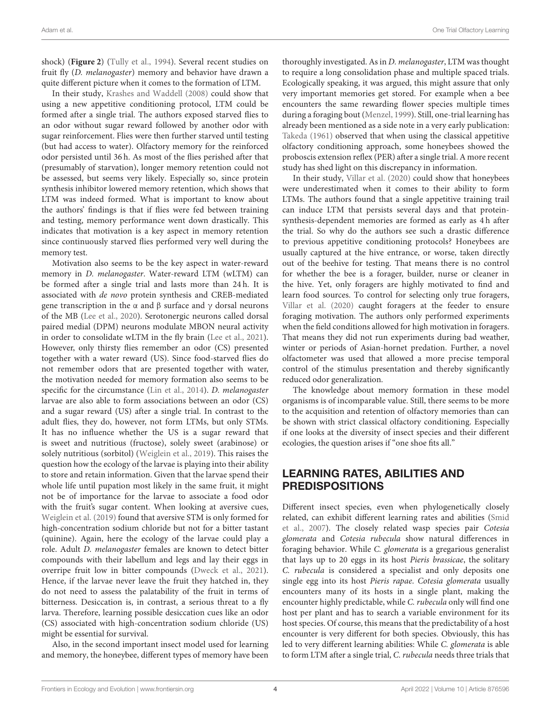shock) (**[Figure 2](#page-2-0)**) [\(Tully et al., 1994\)](#page-6-12). Several recent studies on fruit fly (D. melanogaster) memory and behavior have drawn a quite different picture when it comes to the formation of LTM.

In their study, [Krashes and Waddell \(2008\)](#page-6-14) could show that using a new appetitive conditioning protocol, LTM could be formed after a single trial. The authors exposed starved flies to an odor without sugar reward followed by another odor with sugar reinforcement. Flies were then further starved until testing (but had access to water). Olfactory memory for the reinforced odor persisted until 36 h. As most of the flies perished after that (presumably of starvation), longer memory retention could not be assessed, but seems very likely. Especially so, since protein synthesis inhibitor lowered memory retention, which shows that LTM was indeed formed. What is important to know about the authors' findings is that if flies were fed between training and testing, memory performance went down drastically. This indicates that motivation is a key aspect in memory retention since continuously starved flies performed very well during the memory test.

Motivation also seems to be the key aspect in water-reward memory in D. melanogaster. Water-reward LTM (wLTM) can be formed after a single trial and lasts more than 24 h. It is associated with de novo protein synthesis and CREB-mediated gene transcription in the α and β surface and  $γ$  dorsal neurons of the MB [\(Lee et al., 2020\)](#page-6-15). Serotonergic neurons called dorsal paired medial (DPM) neurons modulate MBON neural activity in order to consolidate wLTM in the fly brain [\(Lee et al., 2021\)](#page-6-16). However, only thirsty flies remember an odor (CS) presented together with a water reward (US). Since food-starved flies do not remember odors that are presented together with water, the motivation needed for memory formation also seems to be specific for the circumstance [\(Lin et al., 2014\)](#page-6-17). D. melanogaster larvae are also able to form associations between an odor (CS) and a sugar reward (US) after a single trial. In contrast to the adult flies, they do, however, not form LTMs, but only STMs. It has no influence whether the US is a sugar reward that is sweet and nutritious (fructose), solely sweet (arabinose) or solely nutritious (sorbitol) [\(Weiglein et al., 2019\)](#page-6-18). This raises the question how the ecology of the larvae is playing into their ability to store and retain information. Given that the larvae spend their whole life until pupation most likely in the same fruit, it might not be of importance for the larvae to associate a food odor with the fruit's sugar content. When looking at aversive cues, [Weiglein et al. \(2019\)](#page-6-18) found that aversive STM is only formed for high-concentration sodium chloride but not for a bitter tastant (quinine). Again, here the ecology of the larvae could play a role. Adult D. melanogaster females are known to detect bitter compounds with their labellum and legs and lay their eggs in overripe fruit low in bitter compounds [\(Dweck et al., 2021\)](#page-5-18). Hence, if the larvae never leave the fruit they hatched in, they do not need to assess the palatability of the fruit in terms of bitterness. Desiccation is, in contrast, a serious threat to a fly larva. Therefore, learning possible desiccation cues like an odor (CS) associated with high-concentration sodium chloride (US) might be essential for survival.

Also, in the second important insect model used for learning and memory, the honeybee, different types of memory have been thoroughly investigated. As in D. melanogaster, LTM was thought to require a long consolidation phase and multiple spaced trials. Ecologically speaking, it was argued, this might assure that only very important memories get stored. For example when a bee encounters the same rewarding flower species multiple times during a foraging bout [\(Menzel, 1999\)](#page-6-19). Still, one-trial learning has already been mentioned as a side note in a very early publication: [Takeda \(1961\)](#page-6-20) observed that when using the classical appetitive olfactory conditioning approach, some honeybees showed the proboscis extension reflex (PER) after a single trial. A more recent study has shed light on this discrepancy in information.

In their study, [Villar et al. \(2020\)](#page-6-21) could show that honeybees were underestimated when it comes to their ability to form LTMs. The authors found that a single appetitive training trail can induce LTM that persists several days and that proteinsynthesis-dependent memories are formed as early as 4 h after the trial. So why do the authors see such a drastic difference to previous appetitive conditioning protocols? Honeybees are usually captured at the hive entrance, or worse, taken directly out of the beehive for testing. That means there is no control for whether the bee is a forager, builder, nurse or cleaner in the hive. Yet, only foragers are highly motivated to find and learn food sources. To control for selecting only true foragers, [Villar et al. \(2020\)](#page-6-21) caught foragers at the feeder to ensure foraging motivation. The authors only performed experiments when the field conditions allowed for high motivation in foragers. That means they did not run experiments during bad weather, winter or periods of Asian-hornet predation. Further, a novel olfactometer was used that allowed a more precise temporal control of the stimulus presentation and thereby significantly reduced odor generalization.

The knowledge about memory formation in these model organisms is of incomparable value. Still, there seems to be more to the acquisition and retention of olfactory memories than can be shown with strict classical olfactory conditioning. Especially if one looks at the diversity of insect species and their different ecologies, the question arises if "one shoe fits all."

# LEARNING RATES, ABILITIES AND PREDISPOSITIONS

Different insect species, even when phylogenetically closely related, can exhibit different learning rates and abilities (Smid et al., [2007\)](#page-6-22). The closely related wasp species pair Cotesia glomerata and Cotesia rubecula show natural differences in foraging behavior. While C. glomerata is a gregarious generalist that lays up to 20 eggs in its host Pieris brassicae, the solitary C. rubecula is considered a specialist and only deposits one single egg into its host Pieris rapae. Cotesia glomerata usually encounters many of its hosts in a single plant, making the encounter highly predictable, while C. rubecula only will find one host per plant and has to search a variable environment for its host species. Of course, this means that the predictability of a host encounter is very different for both species. Obviously, this has led to very different learning abilities: While C. glomerata is able to form LTM after a single trial, C. rubecula needs three trials that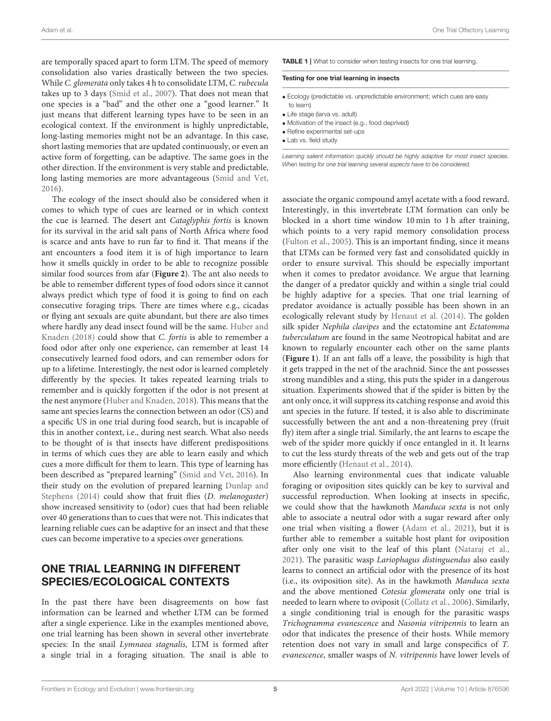are temporally spaced apart to form LTM. The speed of memory consolidation also varies drastically between the two species. While C. glomerata only takes 4 h to consolidate LTM, C. rubecula takes up to 3 days [\(Smid et al., 2007\)](#page-6-22). That does not mean that one species is a "bad" and the other one a "good learner." It just means that different learning types have to be seen in an ecological context. If the environment is highly unpredictable, long-lasting memories might not be an advantage. In this case, short lasting memories that are updated continuously, or even an active form of forgetting, can be adaptive. The same goes in the other direction. If the environment is very stable and predictable, long lasting memories are more advantageous [\(Smid and Vet,](#page-6-23) [2016\)](#page-6-23).

The ecology of the insect should also be considered when it comes to which type of cues are learned or in which context the cue is learned. The desert ant Cataglyphis fortis is known for its survival in the arid salt pans of North Africa where food is scarce and ants have to run far to find it. That means if the ant encounters a food item it is of high importance to learn how it smells quickly in order to be able to recognize possible similar food sources from afar (**[Figure 2](#page-2-0)**). The ant also needs to be able to remember different types of food odors since it cannot always predict which type of food it is going to find on each consecutive foraging trips. There are times where e.g., cicadas or flying ant sexuals are quite abundant, but there are also times where hardly any dead insect found will be the same. Huber and Knaden [\(2018\)](#page-5-12) could show that C. fortis is able to remember a food odor after only one experience, can remember at least 14 consecutively learned food odors, and can remember odors for up to a lifetime. Interestingly, the nest odor is learned completely differently by the species. It takes repeated learning trials to remember and is quickly forgotten if the odor is not present at the nest anymore [\(Huber and Knaden, 2018\)](#page-5-12). This means that the same ant species learns the connection between an odor (CS) and a specific US in one trial during food search, but is incapable of this in another context, i.e., during nest search. What also needs to be thought of is that insects have different predispositions in terms of which cues they are able to learn easily and which cues a more difficult for them to learn. This type of learning has been described as "prepared learning" [\(Smid and Vet, 2016\)](#page-6-23). In their study on the evolution of prepared learning Dunlap and Stephens [\(2014\)](#page-5-19) could show that fruit flies (D. melanogaster) show increased sensitivity to (odor) cues that had been reliable over 40 generations than to cues that were not. This indicates that learning reliable cues can be adaptive for an insect and that these cues can become imperative to a species over generations.

## ONE TRIAL LEARNING IN DIFFERENT SPECIES/ECOLOGICAL CONTEXTS

In the past there have been disagreements on how fast information can be learned and whether LTM can be formed after a single experience. Like in the examples mentioned above, one trial learning has been shown in several other invertebrate species: In the snail Lymnaea stagnalis, LTM is formed after a single trial in a foraging situation. The snail is able to <span id="page-4-0"></span>TABLE 1 | What to consider when testing insects for one trial learning.

#### Testing for one trial learning in insects

- Ecology (predictable vs. unpredictable environment; which cues are easy to learn)
- Life stage (larva vs. adult)
- Motivation of the insect (e.g., food deprived)
- Refine experimental set-ups
- Lab vs. field study

Learning salient information quickly should be highly adaptive for most insect species. When testing for one trial learning several aspects have to be considered.

associate the organic compound amyl acetate with a food reward. Interestingly, in this invertebrate LTM formation can only be blocked in a short time window 10 min to 1 h after training, which points to a very rapid memory consolidation process [\(Fulton et al., 2005\)](#page-5-20). This is an important finding, since it means that LTMs can be formed very fast and consolidated quickly in order to ensure survival. This should be especially important when it comes to predator avoidance. We argue that learning the danger of a predator quickly and within a single trial could be highly adaptive for a species. That one trial learning of predator avoidance is actually possible has been shown in an ecologically relevant study by [Henaut et al. \(2014\)](#page-5-21). The golden silk spider Nephila clavipes and the ectatomine ant Ectatomma tuberculatum are found in the same Neotropical habitat and are known to regularly encounter each other on the same plants (**[Figure 1](#page-1-0)**). If an ant falls off a leave, the possibility is high that it gets trapped in the net of the arachnid. Since the ant possesses strong mandibles and a sting, this puts the spider in a dangerous situation. Experiments showed that if the spider is bitten by the ant only once, it will suppress its catching response and avoid this ant species in the future. If tested, it is also able to discriminate successfully between the ant and a non-threatening prey (fruit fly) item after a single trial. Similarly, the ant learns to escape the web of the spider more quickly if once entangled in it. It learns to cut the less sturdy threats of the web and gets out of the trap more efficiently [\(Henaut et al., 2014\)](#page-5-21).

Also learning environmental cues that indicate valuable foraging or oviposition sites quickly can be key to survival and successful reproduction. When looking at insects in specific, we could show that the hawkmoth Manduca sexta is not only able to associate a neutral odor with a sugar reward after only one trial when visiting a flower [\(Adam et al., 2021\)](#page-5-22), but it is further able to remember a suitable host plant for oviposition after only one visit to the leaf of this plant [\(Nataraj et al.,](#page-6-24) [2021\)](#page-6-24). The parasitic wasp Lariophagus distinguendus also easily learns to connect an artificial odor with the presence of its host (i.e., its oviposition site). As in the hawkmoth Manduca sexta and the above mentioned Cotesia glomerata only one trial is needed to learn where to oviposit [\(Collatz et al., 2006\)](#page-5-23). Similarly, a single conditioning trial is enough for the parasitic wasps Trichogramma evanescence and Nasonia vitripennis to learn an odor that indicates the presence of their hosts. While memory retention does not vary in small and large conspecifics of T. evanescence, smaller wasps of N. vitripennis have lower levels of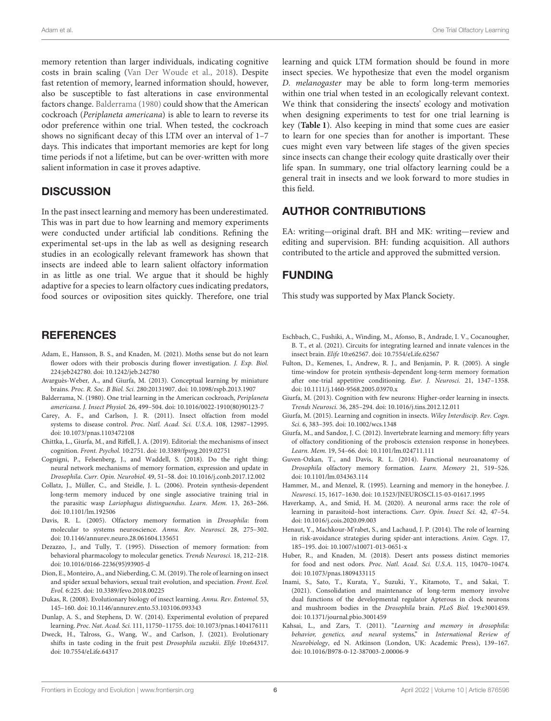memory retention than larger individuals, indicating cognitive costs in brain scaling [\(Van Der Woude et al., 2018\)](#page-6-7). Despite fast retention of memory, learned information should, however, also be susceptible to fast alterations in case environmental factors change. [Balderrama \(1980\)](#page-5-24) could show that the American cockroach (Periplaneta americana) is able to learn to reverse its odor preference within one trial. When tested, the cockroach shows no significant decay of this LTM over an interval of 1–7 days. This indicates that important memories are kept for long time periods if not a lifetime, but can be over-written with more salient information in case it proves adaptive.

### **DISCUSSION**

In the past insect learning and memory has been underestimated. This was in part due to how learning and memory experiments were conducted under artificial lab conditions. Refining the experimental set-ups in the lab as well as designing research studies in an ecologically relevant framework has shown that insects are indeed able to learn salient olfactory information in as little as one trial. We argue that it should be highly adaptive for a species to learn olfactory cues indicating predators, food sources or oviposition sites quickly. Therefore, one trial

### **REFERENCES**

- <span id="page-5-22"></span>Adam, E., Hansson, B. S., and Knaden, M. (2021). Moths sense but do not learn flower odors with their proboscis during flower investigation. J. Exp. Biol. 224:jeb242780. doi: [10.1242/jeb.242780](https://doi.org/10.1242/jeb.242780)
- <span id="page-5-0"></span>Avarguès-Weber, A., and Giurfa, M. (2013). Conceptual learning by miniature brains. Proc. R. Soc. B Biol. Sci. 280:20131907. doi: [10.1098/rspb.2013.1907](https://doi.org/10.1098/rspb.2013.1907)
- <span id="page-5-24"></span>Balderrama, N. (1980). One trial learning in the American cockroach, Periplaneta americana. J. Insect Physiol. 26, 499–504. doi: [10.1016/0022-1910\(80\)90123-7](https://doi.org/10.1016/0022-1910(80)90123-7)
- <span id="page-5-11"></span>Carey, A. F., and Carlson, J. R. (2011). Insect olfaction from model systems to disease control. Proc. Natl. Acad. Sci. U.S.A. 108, 12987–12995. doi: [10.1073/pnas.1103472108](https://doi.org/10.1073/pnas.1103472108)
- <span id="page-5-2"></span>Chittka, L., Giurfa, M., and Riffell, J. A. (2019). Editorial: the mechanisms of insect cognition. Front. Psychol. 10:2751. doi: [10.3389/fpsyg.2019.02751](https://doi.org/10.3389/fpsyg.2019.02751)
- <span id="page-5-13"></span>Cognigni, P., Felsenberg, J., and Waddell, S. (2018). Do the right thing: neural network mechanisms of memory formation, expression and update in Drosophila. Curr. Opin. Neurobiol. 49, 51–58. doi: [10.1016/j.conb.2017.12.002](https://doi.org/10.1016/j.conb.2017.12.002)
- <span id="page-5-23"></span>Collatz, J., Müller, C., and Steidle, J. L. (2006). Protein synthesis-dependent long-term memory induced by one single associative training trial in the parasitic wasp Lariophagus distinguendus. Learn. Mem. 13, 263–266. doi: [10.1101/lm.192506](https://doi.org/10.1101/lm.192506)
- <span id="page-5-7"></span>Davis, R. L. (2005). Olfactory memory formation in Drosophila: from molecular to systems neuroscience. Annu. Rev. Neurosci. 28, 275–302. doi: [10.1146/annurev.neuro.28.061604.135651](https://doi.org/10.1146/annurev.neuro.28.061604.135651)
- <span id="page-5-15"></span>Dezazzo, J., and Tully, T. (1995). Dissection of memory formation: from behavioral pharmacology to molecular genetics. Trends Neurosci. 18, 212–218. doi: [10.1016/0166-2236\(95\)93905-d](https://doi.org/10.1016/0166-2236(95)93905-d)
- <span id="page-5-4"></span>Dion, E., Monteiro, A., and Nieberding, C. M. (2019). The role of learning on insect and spider sexual behaviors, sexual trait evolution, and speciation. Front. Ecol. Evol. 6:225. doi: [10.3389/fevo.2018.00225](https://doi.org/10.3389/fevo.2018.00225)
- <span id="page-5-3"></span>Dukas, R. (2008). Evolutionary biology of insect learning. Annu. Rev. Entomol. 53, 145–160. doi: [10.1146/annurev.ento.53.103106.093343](https://doi.org/10.1146/annurev.ento.53.103106.093343)
- <span id="page-5-19"></span>Dunlap, A. S., and Stephens, D. W. (2014). Experimental evolution of prepared learning. Proc. Nat. Acad. Sci. 111, 11750–11755. doi: [10.1073/pnas.1404176111](https://doi.org/10.1073/pnas.1404176111)
- <span id="page-5-18"></span>Dweck, H., Talross, G., Wang, W., and Carlson, J. (2021). Evolutionary shifts in taste coding in the fruit pest Drosophila suzukii. Elife 10:e64317. doi: [10.7554/eLife.64317](https://doi.org/10.7554/eLife.64317)

learning and quick LTM formation should be found in more insect species. We hypothesize that even the model organism D. melanogaster may be able to form long-term memories within one trial when tested in an ecologically relevant context. We think that considering the insects' ecology and motivation when designing experiments to test for one trial learning is key (**[Table 1](#page-4-0)**). Also keeping in mind that some cues are easier to learn for one species than for another is important. These cues might even vary between life stages of the given species since insects can change their ecology quite drastically over their life span. In summary, one trial olfactory learning could be a general trait in insects and we look forward to more studies in this field.

### AUTHOR CONTRIBUTIONS

EA: writing—original draft. BH and MK: writing—review and editing and supervision. BH: funding acquisition. All authors contributed to the article and approved the submitted version.

### FUNDING

This study was supported by Max Planck Society.

- <span id="page-5-14"></span>Eschbach, C., Fushiki, A., Winding, M., Afonso, B., Andrade, I. V., Cocanougher, B. T., et al. (2021). Circuits for integrating learned and innate valences in the insect brain. Elife 10:e62567. doi: [10.7554/eLife.62567](https://doi.org/10.7554/eLife.62567)
- <span id="page-5-20"></span>Fulton, D., Kemenes, I., Andrew, R. J., and Benjamin, P. R. (2005). A single time-window for protein synthesis-dependent long-term memory formation after one-trial appetitive conditioning. Eur. J. Neurosci. 21, 1347–1358. doi: [10.1111/j.1460-9568.2005.03970.x](https://doi.org/10.1111/j.1460-9568.2005.03970.x)
- <span id="page-5-1"></span>Giurfa, M. (2013). Cognition with few neurons: Higher-order learning in insects. Trends Neurosci. 36, 285–294. doi: [10.1016/j.tins.2012.12.011](https://doi.org/10.1016/j.tins.2012.12.011)
- <span id="page-5-5"></span>Giurfa, M. (2015). Learning and cognition in insects. Wiley Interdiscip. Rev. Cogn. Sci. 6, 383–395. doi: [10.1002/wcs.1348](https://doi.org/10.1002/wcs.1348)
- <span id="page-5-8"></span>Giurfa, M., and Sandoz, J. C. (2012). Invertebrate learning and memory: fifty years of olfactory conditioning of the proboscis extension response in honeybees. Learn. Mem. 19, 54–66. doi: [10.1101/lm.024711.111](https://doi.org/10.1101/lm.024711.111)
- <span id="page-5-17"></span>Guven-Ozkan, T., and Davis, R. L. (2014). Functional neuroanatomy of Drosophila olfactory memory formation. Learn. Memory 21, 519–526. doi: [10.1101/lm.034363.114](https://doi.org/10.1101/lm.034363.114)
- <span id="page-5-6"></span>Hammer, M., and Menzel, R. (1995). Learning and memory in the honeybee. J. Neurosci. 15, 1617–1630. doi: [10.1523/JNEUROSCI.15-03-01617.1995](https://doi.org/10.1523/JNEUROSCI.15-03-01617.1995)
- <span id="page-5-9"></span>Haverkamp, A., and Smid, H. M. (2020). A neuronal arms race: the role of learning in parasitoid–host interactions. Curr. Opin. Insect Sci. 42, 47–54. doi: [10.1016/j.cois.2020.09.003](https://doi.org/10.1016/j.cois.2020.09.003)
- <span id="page-5-21"></span>Henaut, Y., Machkour-M'rabet, S., and Lachaud, J. P. (2014). The role of learning in risk-avoidance strategies during spider-ant interactions. Anim. Cogn. 17, 185–195. doi: [10.1007/s10071-013-0651-x](https://doi.org/10.1007/s10071-013-0651-x)
- <span id="page-5-12"></span>Huber, R., and Knaden, M. (2018). Desert ants possess distinct memories for food and nest odors. Proc. Natl. Acad. Sci. U.S.A. 115, 10470–10474. doi: [10.1073/pnas.1809433115](https://doi.org/10.1073/pnas.1809433115)
- <span id="page-5-16"></span>Inami, S., Sato, T., Kurata, Y., Suzuki, Y., Kitamoto, T., and Sakai, T. (2021). Consolidation and maintenance of long-term memory involve dual functions of the developmental regulator Apterous in clock neurons and mushroom bodies in the Drosophila brain. PLoS Biol. 19:e3001459. doi: [10.1371/journal.pbio.3001459](https://doi.org/10.1371/journal.pbio.3001459)
- <span id="page-5-10"></span>Kahsai, L., and Zars, T. (2011). "Learning and memory in drosophila: behavior, genetics, and neural systems," in International Review of Neurobiology, ed N. Atkinson (London, UK: Academic Press), 139–167. doi: [10.1016/B978-0-12-387003-2.00006-9](https://doi.org/10.1016/B978-0-12-387003-2.00006-9)